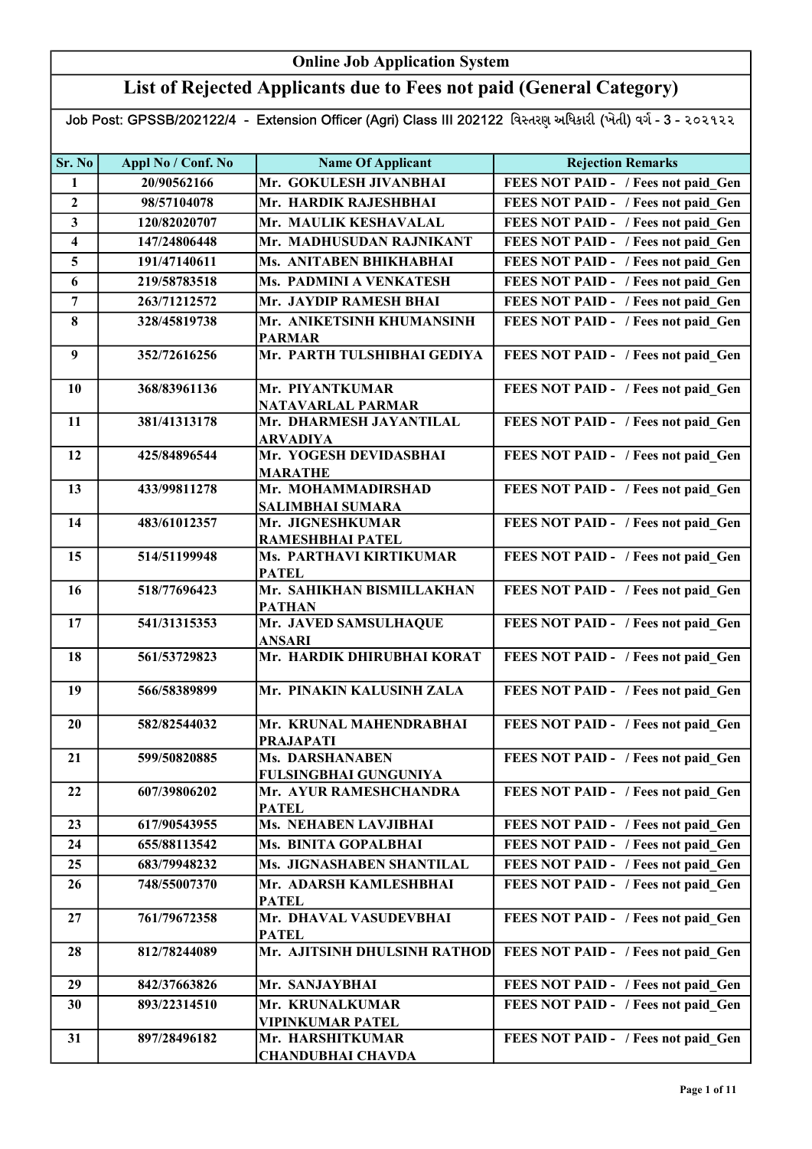## List of Rejected Applicants due to Fees not paid (General Category)

| Sr. No                  | Appl No / Conf. No | <b>Name Of Applicant</b>                        | <b>Rejection Remarks</b>            |
|-------------------------|--------------------|-------------------------------------------------|-------------------------------------|
| 1                       | 20/90562166        | Mr. GOKULESH JIVANBHAI                          | FEES NOT PAID - / Fees not paid Gen |
| $\boldsymbol{2}$        | 98/57104078        | Mr. HARDIK RAJESHBHAI                           | FEES NOT PAID - / Fees not paid Gen |
| 3                       | 120/82020707       | Mr. MAULIK KESHAVALAL                           | FEES NOT PAID - / Fees not paid Gen |
| $\overline{\mathbf{4}}$ | 147/24806448       | Mr. MADHUSUDAN RAJNIKANT                        | FEES NOT PAID - / Fees not paid Gen |
| 5                       | 191/47140611       | Ms. ANITABEN BHIKHABHAI                         | FEES NOT PAID - / Fees not paid Gen |
| 6                       | 219/58783518       | Ms. PADMINI A VENKATESH                         | FEES NOT PAID - / Fees not paid Gen |
| $\overline{7}$          | 263/71212572       | Mr. JAYDIP RAMESH BHAI                          | FEES NOT PAID - / Fees not paid Gen |
| 8                       | 328/45819738       | Mr. ANIKETSINH KHUMANSINH                       | FEES NOT PAID - / Fees not paid Gen |
|                         |                    | <b>PARMAR</b>                                   |                                     |
| $\boldsymbol{9}$        | 352/72616256       | Mr. PARTH TULSHIBHAI GEDIYA                     | FEES NOT PAID - / Fees not paid_Gen |
| 10                      | 368/83961136       | Mr. PIYANTKUMAR                                 | FEES NOT PAID - / Fees not paid_Gen |
|                         |                    | NATAVARLAL PARMAR                               |                                     |
| 11                      | 381/41313178       | Mr. DHARMESH JAYANTILAL                         | FEES NOT PAID - / Fees not paid_Gen |
| 12                      | 425/84896544       | <b>ARVADIYA</b><br>Mr. YOGESH DEVIDASBHAI       | FEES NOT PAID - / Fees not paid_Gen |
|                         |                    | <b>MARATHE</b>                                  |                                     |
| 13                      | 433/99811278       | Mr. MOHAMMADIRSHAD                              | FEES NOT PAID - / Fees not paid Gen |
|                         |                    | <b>SALIMBHAI SUMARA</b>                         |                                     |
| 14                      | 483/61012357       | Mr. JIGNESHKUMAR                                | FEES NOT PAID - / Fees not paid Gen |
|                         |                    | RAMESHBHAI PATEL                                |                                     |
| 15                      | 514/51199948       | Ms. PARTHAVI KIRTIKUMAR                         | FEES NOT PAID - / Fees not paid Gen |
| 16                      | 518/77696423       | <b>PATEL</b><br>Mr. SAHIKHAN BISMILLAKHAN       | FEES NOT PAID - / Fees not paid Gen |
|                         |                    | <b>PATHAN</b>                                   |                                     |
| 17                      | 541/31315353       | Mr. JAVED SAMSULHAQUE<br><b>ANSARI</b>          | FEES NOT PAID - / Fees not paid Gen |
| 18                      | 561/53729823       | Mr. HARDIK DHIRUBHAI KORAT                      | FEES NOT PAID - / Fees not paid Gen |
| 19                      | 566/58389899       | Mr. PINAKIN KALUSINH ZALA                       | FEES NOT PAID - / Fees not paid Gen |
| 20                      | 582/82544032       | Mr. KRUNAL MAHENDRABHAI                         | FEES NOT PAID - / Fees not paid Gen |
|                         |                    | <b>PRAJAPATI</b>                                |                                     |
| 21                      | 599/50820885       | <b>Ms. DARSHANABEN</b>                          | FEES NOT PAID - / Fees not paid Gen |
| 22                      | 607/39806202       | FULSINGBHAI GUNGUNIYA<br>Mr. AYUR RAMESHCHANDRA | FEES NOT PAID - / Fees not paid Gen |
|                         |                    | <b>PATEL</b>                                    |                                     |
| 23                      | 617/90543955       | <b>Ms. NEHABEN LAVJIBHAI</b>                    | FEES NOT PAID - / Fees not paid Gen |
| 24                      | 655/88113542       | Ms. BINITA GOPALBHAI                            | FEES NOT PAID - / Fees not paid Gen |
| 25                      | 683/79948232       | Ms. JIGNASHABEN SHANTILAL                       | FEES NOT PAID - / Fees not paid Gen |
| 26                      | 748/55007370       | Mr. ADARSH KAMLESHBHAI                          | FEES NOT PAID - / Fees not paid Gen |
|                         |                    | <b>PATEL</b>                                    |                                     |
| 27                      | 761/79672358       | Mr. DHAVAL VASUDEVBHAI                          | FEES NOT PAID - / Fees not paid Gen |
|                         |                    | <b>PATEL</b>                                    |                                     |
| 28                      | 812/78244089       | Mr. AJITSINH DHULSINH RATHOD                    | FEES NOT PAID - / Fees not paid Gen |
| 29                      | 842/37663826       | Mr. SANJAYBHAI                                  | FEES NOT PAID - / Fees not paid Gen |
| 30                      | 893/22314510       | Mr. KRUNALKUMAR                                 | FEES NOT PAID - / Fees not paid Gen |
|                         |                    | <b>VIPINKUMAR PATEL</b>                         |                                     |
| 31                      | 897/28496182       | Mr. HARSHITKUMAR<br><b>CHANDUBHAI CHAVDA</b>    | FEES NOT PAID - / Fees not paid Gen |
|                         |                    |                                                 |                                     |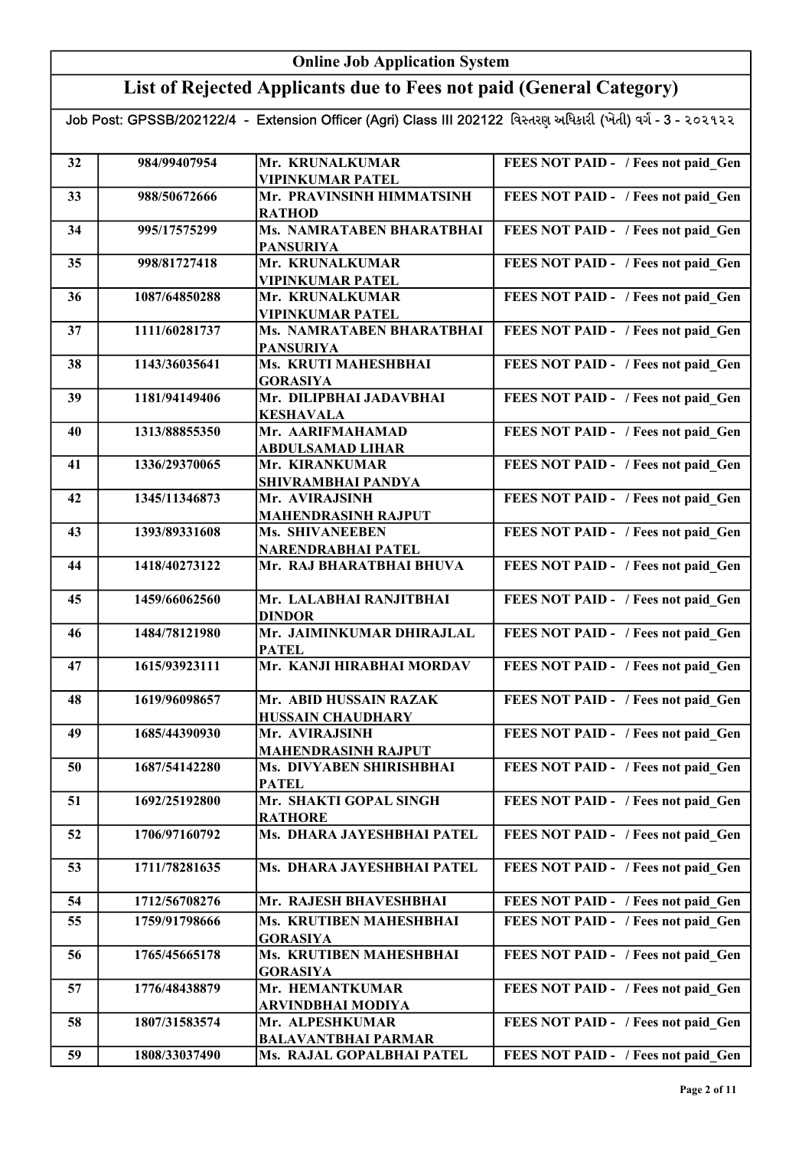## List of Rejected Applicants due to Fees not paid (General Category)

| 32 | 984/99407954  | Mr. KRUNALKUMAR                              | FEES NOT PAID - / Fees not paid Gen |
|----|---------------|----------------------------------------------|-------------------------------------|
|    |               | <b>VIPINKUMAR PATEL</b>                      |                                     |
| 33 | 988/50672666  | Mr. PRAVINSINH HIMMATSINH<br><b>RATHOD</b>   | FEES NOT PAID - / Fees not paid Gen |
| 34 | 995/17575299  | <b>Ms. NAMRATABEN BHARATBHAI</b>             | FEES NOT PAID - / Fees not paid Gen |
|    |               | <b>PANSURIYA</b>                             |                                     |
| 35 | 998/81727418  | Mr. KRUNALKUMAR                              | FEES NOT PAID - / Fees not paid_Gen |
|    |               | <b>VIPINKUMAR PATEL</b>                      |                                     |
| 36 | 1087/64850288 | Mr. KRUNALKUMAR                              | FEES NOT PAID - / Fees not paid_Gen |
|    |               | <b>VIPINKUMAR PATEL</b>                      |                                     |
| 37 | 1111/60281737 | Ms. NAMRATABEN BHARATBHAI                    | FEES NOT PAID - / Fees not paid_Gen |
|    |               | <b>PANSURIYA</b>                             |                                     |
| 38 | 1143/36035641 | Ms. KRUTI MAHESHBHAI                         | FEES NOT PAID - / Fees not paid Gen |
|    |               | <b>GORASIYA</b>                              |                                     |
| 39 | 1181/94149406 | Mr. DILIPBHAI JADAVBHAI                      | FEES NOT PAID - / Fees not paid Gen |
|    |               | <b>KESHAVALA</b><br>Mr. AARIFMAHAMAD         |                                     |
| 40 | 1313/88855350 | <b>ABDULSAMAD LIHAR</b>                      | FEES NOT PAID - / Fees not paid Gen |
| 41 | 1336/29370065 | Mr. KIRANKUMAR                               | FEES NOT PAID - / Fees not paid Gen |
|    |               | SHIVRAMBHAI PANDYA                           |                                     |
| 42 | 1345/11346873 | Mr. AVIRAJSINH                               | FEES NOT PAID - / Fees not paid Gen |
|    |               | <b>MAHENDRASINH RAJPUT</b>                   |                                     |
| 43 | 1393/89331608 | <b>Ms. SHIVANEEBEN</b>                       | FEES NOT PAID - / Fees not paid Gen |
|    |               | NARENDRABHAI PATEL                           |                                     |
| 44 | 1418/40273122 | Mr. RAJ BHARATBHAI BHUVA                     | FEES NOT PAID - / Fees not paid Gen |
| 45 | 1459/66062560 | Mr. LALABHAI RANJITBHAI                      | FEES NOT PAID - / Fees not paid Gen |
|    |               | <b>DINDOR</b>                                |                                     |
| 46 | 1484/78121980 | Mr. JAIMINKUMAR DHIRAJLAL                    | FEES NOT PAID - / Fees not paid Gen |
|    |               | <b>PATEL</b>                                 |                                     |
| 47 | 1615/93923111 | Mr. KANJI HIRABHAI MORDAV                    | FEES NOT PAID - / Fees not paid Gen |
|    |               |                                              |                                     |
| 48 | 1619/96098657 | Mr. ABID HUSSAIN RAZAK                       | FEES NOT PAID - / Fees not paid Gen |
|    |               | <b>HUSSAIN CHAUDHARY</b>                     |                                     |
| 49 | 1685/44390930 | Mr. AVIRAJSINH<br><b>MAHENDRASINH RAJPUT</b> | FEES NOT PAID - / Fees not paid Gen |
| 50 | 1687/54142280 | Ms. DIVYABEN SHIRISHBHAI                     | FEES NOT PAID - / Fees not paid Gen |
|    |               | <b>PATEL</b>                                 |                                     |
| 51 | 1692/25192800 | Mr. SHAKTI GOPAL SINGH                       | FEES NOT PAID - / Fees not paid Gen |
|    |               | <b>RATHORE</b>                               |                                     |
| 52 | 1706/97160792 | Ms. DHARA JAYESHBHAI PATEL                   | FEES NOT PAID - / Fees not paid Gen |
|    |               |                                              |                                     |
| 53 | 1711/78281635 | Ms. DHARA JAYESHBHAI PATEL                   | FEES NOT PAID - / Fees not paid Gen |
| 54 | 1712/56708276 | Mr. RAJESH BHAVESHBHAI                       | FEES NOT PAID - / Fees not paid Gen |
|    | 1759/91798666 | Ms. KRUTIBEN MAHESHBHAI                      |                                     |
| 55 |               | <b>GORASIYA</b>                              | FEES NOT PAID - / Fees not paid Gen |
| 56 | 1765/45665178 | Ms. KRUTIBEN MAHESHBHAI                      | FEES NOT PAID - / Fees not paid Gen |
|    |               | <b>GORASIYA</b>                              |                                     |
| 57 | 1776/48438879 | Mr. HEMANTKUMAR                              | FEES NOT PAID - / Fees not paid Gen |
|    |               | ARVINDBHAI MODIYA                            |                                     |
| 58 | 1807/31583574 | Mr. ALPESHKUMAR                              | FEES NOT PAID - / Fees not paid Gen |
|    |               | <b>BALAVANTBHAI PARMAR</b>                   |                                     |
| 59 | 1808/33037490 | Ms. RAJAL GOPALBHAI PATEL                    | FEES NOT PAID - / Fees not paid_Gen |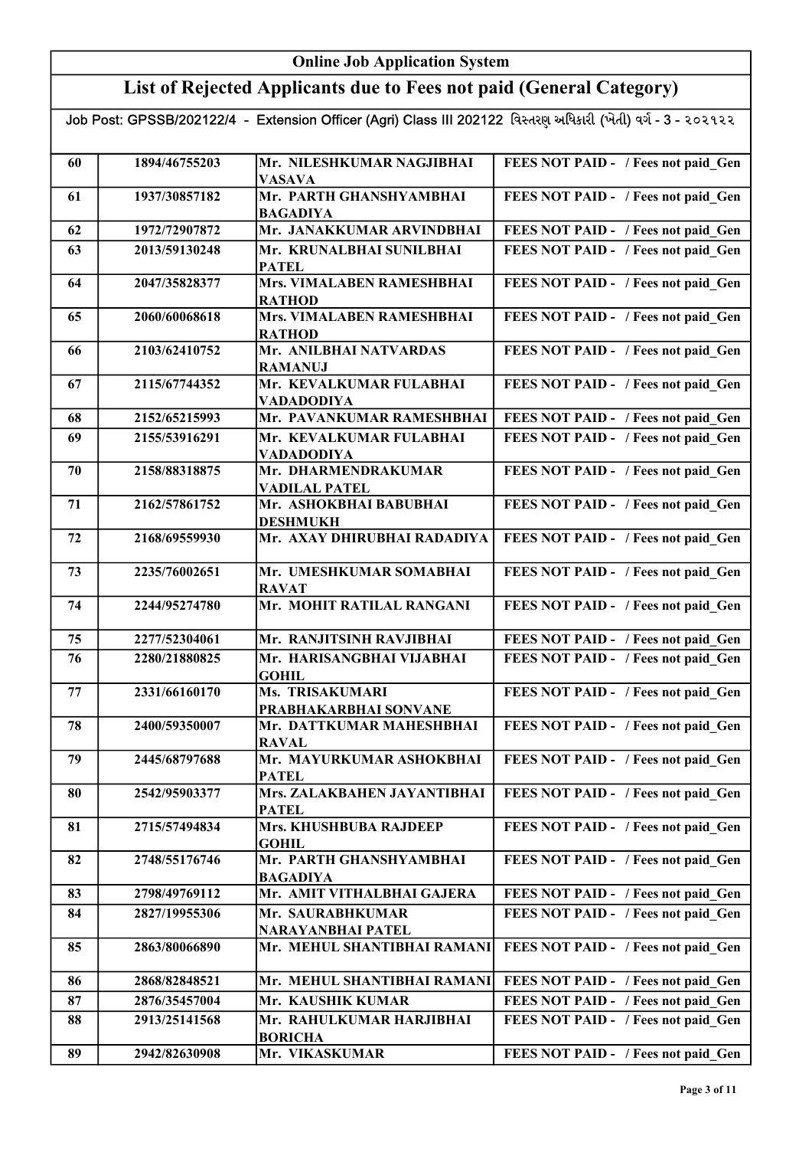## List of Rejected Applicants due to Fees not paid (General Category)

| 60 | 1894/46755203 | Mr. NILESHKUMAR NAGJIBHAI<br><b>VASAVA</b>     | FEES NOT PAID - / Fees not paid Gen |
|----|---------------|------------------------------------------------|-------------------------------------|
| 61 | 1937/30857182 | Mr. PARTH GHANSHYAMBHAI                        | FEES NOT PAID - / Fees not paid Gen |
| 62 | 1972/72907872 | <b>BAGADIYA</b><br>Mr. JANAKKUMAR ARVINDBHAI   | FEES NOT PAID - / Fees not paid Gen |
| 63 | 2013/59130248 | Mr. KRUNALBHAI SUNILBHAI                       | FEES NOT PAID - / Fees not paid Gen |
|    |               | <b>PATEL</b>                                   |                                     |
| 64 | 2047/35828377 | Mrs. VIMALABEN RAMESHBHAI                      | FEES NOT PAID - / Fees not paid_Gen |
|    |               | <b>RATHOD</b>                                  |                                     |
| 65 | 2060/60068618 | Mrs. VIMALABEN RAMESHBHAI                      | FEES NOT PAID - / Fees not paid Gen |
|    |               | <b>RATHOD</b>                                  |                                     |
| 66 | 2103/62410752 | Mr. ANILBHAI NATVARDAS                         | FEES NOT PAID - / Fees not paid_Gen |
| 67 | 2115/67744352 | <b>RAMANUJ</b><br>Mr. KEVALKUMAR FULABHAI      | FEES NOT PAID - / Fees not paid Gen |
|    |               | <b>VADADODIYA</b>                              |                                     |
| 68 | 2152/65215993 | Mr. PAVANKUMAR RAMESHBHAI                      | FEES NOT PAID - / Fees not paid Gen |
| 69 | 2155/53916291 | Mr. KEVALKUMAR FULABHAI                        | FEES NOT PAID - / Fees not paid Gen |
|    |               | <b>VADADODIYA</b>                              |                                     |
| 70 | 2158/88318875 | Mr. DHARMENDRAKUMAR                            | FEES NOT PAID - / Fees not paid Gen |
|    |               | <b>VADILAL PATEL</b>                           |                                     |
| 71 | 2162/57861752 | Mr. ASHOKBHAI BABUBHAI                         | FEES NOT PAID - / Fees not paid Gen |
| 72 | 2168/69559930 | <b>DESHMUKH</b><br>Mr. AXAY DHIRUBHAI RADADIYA | FEES NOT PAID - / Fees not paid Gen |
|    |               |                                                |                                     |
| 73 | 2235/76002651 | Mr. UMESHKUMAR SOMABHAI                        | FEES NOT PAID - / Fees not paid_Gen |
|    |               | <b>RAVAT</b>                                   |                                     |
| 74 | 2244/95274780 | Mr. MOHIT RATILAL RANGANI                      | FEES NOT PAID - / Fees not paid_Gen |
| 75 | 2277/52304061 | Mr. RANJITSINH RAVJIBHAI                       | FEES NOT PAID - / Fees not paid_Gen |
| 76 | 2280/21880825 | Mr. HARISANGBHAI VIJABHAI                      | FEES NOT PAID - / Fees not paid Gen |
|    |               | <b>GOHIL</b>                                   |                                     |
| 77 | 2331/66160170 | Ms. TRISAKUMARI                                | FEES NOT PAID - / Fees not paid_Gen |
|    |               | PRABHAKARBHAI SONVANE                          |                                     |
| 78 | 2400/59350007 | Mr. DATTKUMAR MAHESHBHAI                       | FEES NOT PAID - / Fees not paid_Gen |
| 79 | 2445/68797688 | <b>RAVAL</b><br>Mr. MAYURKUMAR ASHOKBHAI       | FEES NOT PAID - / Fees not paid Gen |
|    |               | <b>PATEL</b>                                   |                                     |
| 80 | 2542/95903377 | Mrs. ZALAKBAHEN JAYANTIBHAI                    | FEES NOT PAID - / Fees not paid Gen |
|    |               | <b>PATEL</b>                                   |                                     |
| 81 | 2715/57494834 | Mrs. KHUSHBUBA RAJDEEP                         | FEES NOT PAID - / Fees not paid Gen |
|    |               | <b>GOHIL</b>                                   |                                     |
| 82 | 2748/55176746 | Mr. PARTH GHANSHYAMBHAI<br><b>BAGADIYA</b>     | FEES NOT PAID - / Fees not paid Gen |
| 83 | 2798/49769112 | Mr. AMIT VITHALBHAI GAJERA                     | FEES NOT PAID - / Fees not paid Gen |
| 84 | 2827/19955306 | Mr. SAURABHKUMAR                               | FEES NOT PAID - / Fees not paid Gen |
|    |               | NARAYANBHAI PATEL                              |                                     |
| 85 | 2863/80066890 | Mr. MEHUL SHANTIBHAI RAMANI                    | FEES NOT PAID - / Fees not paid Gen |
| 86 | 2868/82848521 | Mr. MEHUL SHANTIBHAI RAMANI                    | FEES NOT PAID - / Fees not paid Gen |
| 87 | 2876/35457004 | Mr. KAUSHIK KUMAR                              | FEES NOT PAID - / Fees not paid Gen |
| 88 | 2913/25141568 | Mr. RAHULKUMAR HARJIBHAI                       | FEES NOT PAID - / Fees not paid Gen |
|    |               | <b>BORICHA</b>                                 |                                     |
| 89 | 2942/82630908 | Mr. VIKASKUMAR                                 | FEES NOT PAID - / Fees not paid Gen |
|    |               |                                                |                                     |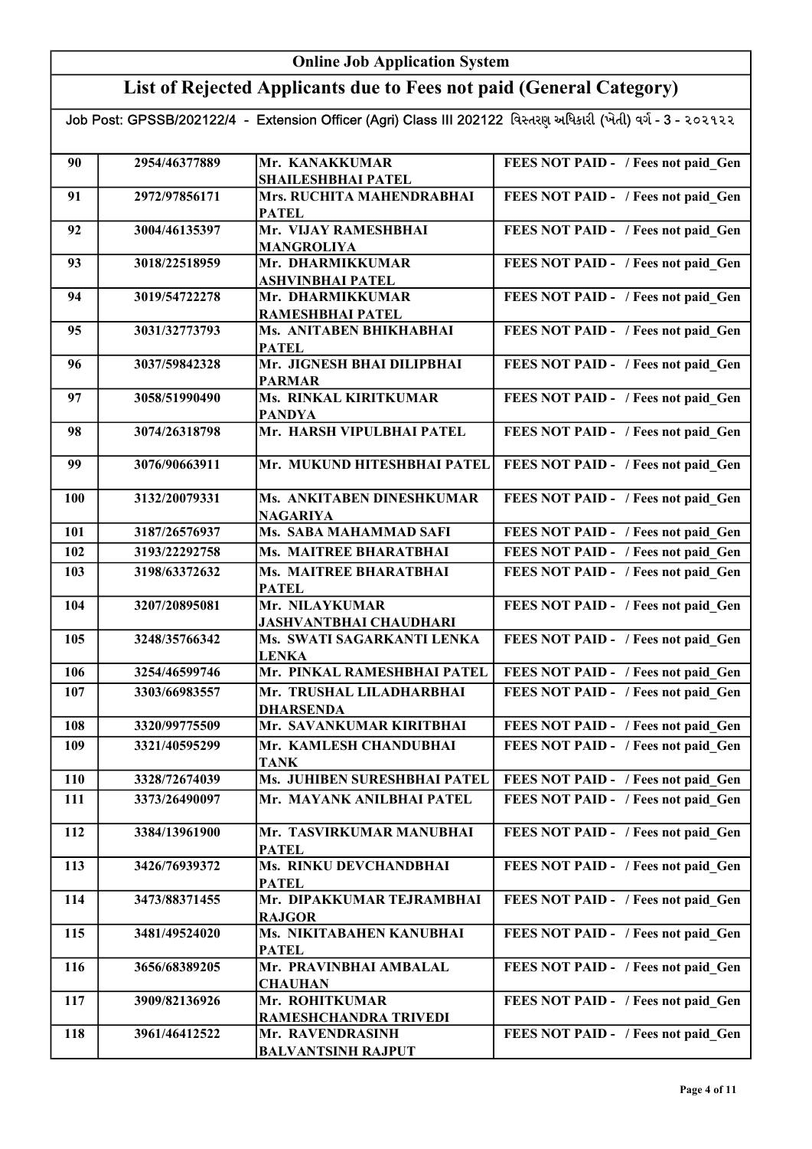## List of Rejected Applicants due to Fees not paid (General Category)

| 90         | 2954/46377889 | Mr. KANAKKUMAR                            | FEES NOT PAID - / Fees not paid Gen |
|------------|---------------|-------------------------------------------|-------------------------------------|
|            |               | <b>SHAILESHBHAI PATEL</b>                 |                                     |
| 91         | 2972/97856171 | Mrs. RUCHITA MAHENDRABHAI<br><b>PATEL</b> | FEES NOT PAID - / Fees not paid Gen |
| 92         | 3004/46135397 | Mr. VIJAY RAMESHBHAI                      | FEES NOT PAID - / Fees not paid Gen |
|            |               | <b>MANGROLIYA</b>                         |                                     |
| 93         | 3018/22518959 | Mr. DHARMIKKUMAR                          | FEES NOT PAID - / Fees not paid Gen |
|            |               | <b>ASHVINBHAI PATEL</b>                   |                                     |
| 94         | 3019/54722278 | Mr. DHARMIKKUMAR                          | FEES NOT PAID - / Fees not paid_Gen |
|            |               | RAMESHBHAI PATEL                          |                                     |
| 95         | 3031/32773793 | Ms. ANITABEN BHIKHABHAI                   | FEES NOT PAID - / Fees not paid_Gen |
|            |               | <b>PATEL</b>                              |                                     |
| 96         | 3037/59842328 | Mr. JIGNESH BHAI DILIPBHAI                | FEES NOT PAID - / Fees not paid_Gen |
|            |               | <b>PARMAR</b>                             |                                     |
|            |               | <b>Ms. RINKAL KIRITKUMAR</b>              |                                     |
| 97         | 3058/51990490 |                                           | FEES NOT PAID - / Fees not paid_Gen |
|            |               | <b>PANDYA</b>                             |                                     |
| 98         | 3074/26318798 | Mr. HARSH VIPULBHAI PATEL                 | FEES NOT PAID - / Fees not paid Gen |
|            |               |                                           |                                     |
| 99         | 3076/90663911 | Mr. MUKUND HITESHBHAI PATEL               | FEES NOT PAID - / Fees not paid Gen |
| <b>100</b> | 3132/20079331 | Ms. ANKITABEN DINESHKUMAR                 | FEES NOT PAID - / Fees not paid Gen |
|            |               |                                           |                                     |
|            | 3187/26576937 | <b>NAGARIYA</b><br>Ms. SABA MAHAMMAD SAFI |                                     |
| 101        |               |                                           | FEES NOT PAID - / Fees not paid Gen |
| 102        | 3193/22292758 | Ms. MAITREE BHARATBHAI                    | FEES NOT PAID - / Fees not paid Gen |
| 103        | 3198/63372632 | <b>Ms. MAITREE BHARATBHAI</b>             | FEES NOT PAID - / Fees not paid Gen |
|            |               | <b>PATEL</b>                              |                                     |
| 104        | 3207/20895081 | Mr. NILAYKUMAR                            | FEES NOT PAID - / Fees not paid Gen |
|            |               | <b>JASHVANTBHAI CHAUDHARI</b>             |                                     |
| 105        | 3248/35766342 | Ms. SWATI SAGARKANTI LENKA                | FEES NOT PAID - / Fees not paid Gen |
|            |               | <b>LENKA</b>                              |                                     |
| 106        | 3254/46599746 | Mr. PINKAL RAMESHBHAI PATEL               | FEES NOT PAID - / Fees not paid Gen |
| 107        | 3303/66983557 | Mr. TRUSHAL LILADHARBHAI                  | FEES NOT PAID - / Fees not paid Gen |
|            |               | <b>DHARSENDA</b>                          |                                     |
| 108        | 3320/99775509 | Mr. SAVANKUMAR KIRITBHAI                  | FEES NOT PAID - / Fees not paid Gen |
| 109        | 3321/40595299 | Mr. KAMLESH CHANDUBHAI                    | FEES NOT PAID - / Fees not paid Gen |
|            |               | <b>TANK</b>                               |                                     |
| 110        | 3328/72674039 | Ms. JUHIBEN SURESHBHAI PATEL              | FEES NOT PAID - / Fees not paid Gen |
| 111        | 3373/26490097 | Mr. MAYANK ANILBHAI PATEL                 | FEES NOT PAID - / Fees not paid Gen |
|            |               |                                           |                                     |
| 112        | 3384/13961900 | Mr. TASVIRKUMAR MANUBHAI                  | FEES NOT PAID - / Fees not paid Gen |
|            |               |                                           |                                     |
|            |               | <b>PATEL</b>                              |                                     |
| 113        | 3426/76939372 | Ms. RINKU DEVCHANDBHAI                    | FEES NOT PAID - / Fees not paid Gen |
|            |               | <b>PATEL</b>                              |                                     |
| 114        | 3473/88371455 | Mr. DIPAKKUMAR TEJRAMBHAI                 | FEES NOT PAID - / Fees not paid Gen |
|            |               | <b>RAJGOR</b>                             |                                     |
| 115        | 3481/49524020 | Ms. NIKITABAHEN KANUBHAI                  | FEES NOT PAID - / Fees not paid Gen |
|            |               | <b>PATEL</b>                              |                                     |
| 116        | 3656/68389205 | Mr. PRAVINBHAI AMBALAL                    | FEES NOT PAID - / Fees not paid Gen |
|            |               | <b>CHAUHAN</b>                            |                                     |
| 117        | 3909/82136926 | Mr. ROHITKUMAR                            | FEES NOT PAID - / Fees not paid Gen |
|            |               | RAMESHCHANDRA TRIVEDI                     |                                     |
| 118        | 3961/46412522 | Mr. RAVENDRASINH                          | FEES NOT PAID - / Fees not paid Gen |
|            |               | <b>BALVANTSINH RAJPUT</b>                 |                                     |
|            |               |                                           |                                     |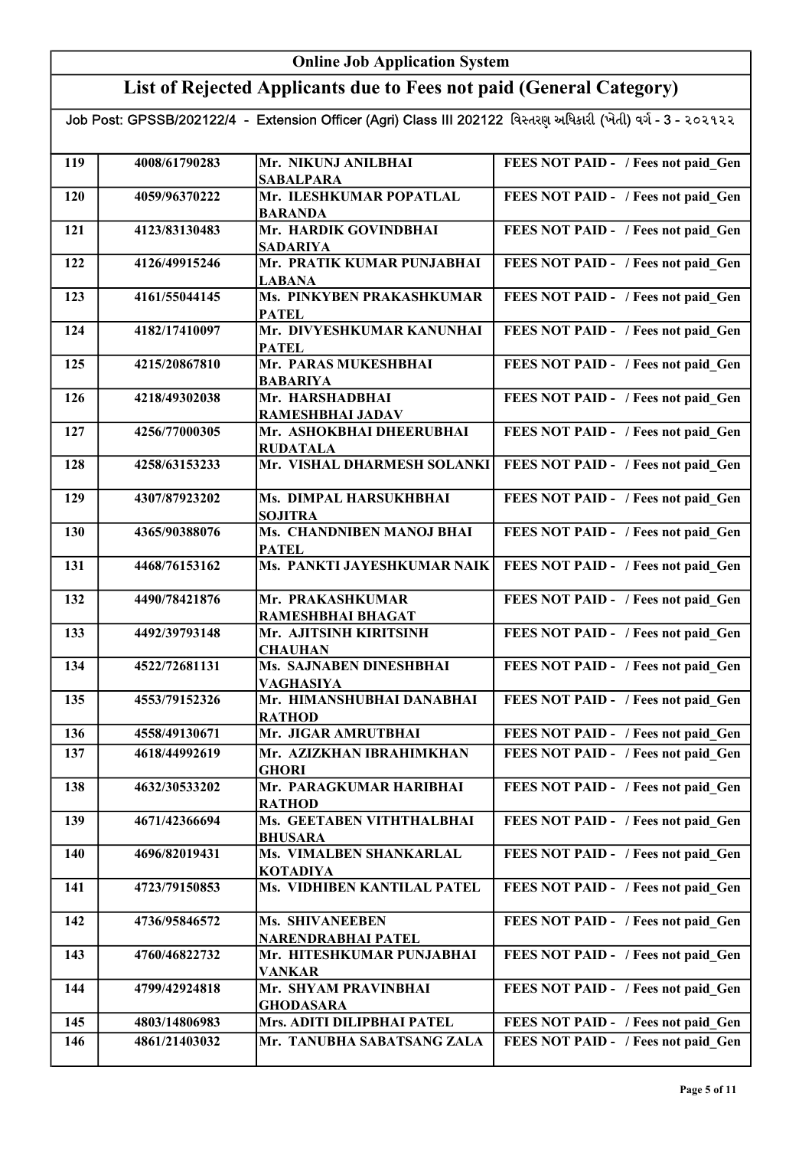# List of Rejected Applicants due to Fees not paid (General Category)

| 119 | 4008/61790283 | Mr. NIKUNJ ANILBHAI                     | FEES NOT PAID - / Fees not paid Gen |
|-----|---------------|-----------------------------------------|-------------------------------------|
|     |               | <b>SABALPARA</b>                        |                                     |
| 120 | 4059/96370222 | Mr. ILESHKUMAR POPATLAL                 | FEES NOT PAID - / Fees not paid Gen |
|     | 4123/83130483 | <b>BARANDA</b><br>Mr. HARDIK GOVINDBHAI |                                     |
| 121 |               | <b>SADARIYA</b>                         | FEES NOT PAID - / Fees not paid Gen |
| 122 | 4126/49915246 | Mr. PRATIK KUMAR PUNJABHAI              | FEES NOT PAID - / Fees not paid Gen |
|     |               | <b>LABANA</b>                           |                                     |
| 123 | 4161/55044145 | Ms. PINKYBEN PRAKASHKUMAR               | FEES NOT PAID - / Fees not paid_Gen |
|     |               | <b>PATEL</b>                            |                                     |
| 124 | 4182/17410097 | Mr. DIVYESHKUMAR KANUNHAI               | FEES NOT PAID - / Fees not paid_Gen |
|     |               | <b>PATEL</b>                            |                                     |
| 125 | 4215/20867810 | Mr. PARAS MUKESHBHAI                    | FEES NOT PAID - / Fees not paid_Gen |
|     |               | <b>BABARIYA</b>                         |                                     |
| 126 | 4218/49302038 | Mr. HARSHADBHAI                         | FEES NOT PAID - / Fees not paid_Gen |
|     |               | <b>RAMESHBHAI JADAV</b>                 |                                     |
| 127 | 4256/77000305 | Mr. ASHOKBHAI DHEERUBHAI                | FEES NOT PAID - / Fees not paid Gen |
|     |               | <b>RUDATALA</b>                         |                                     |
| 128 | 4258/63153233 | Mr. VISHAL DHARMESH SOLANKI             | FEES NOT PAID - / Fees not paid Gen |
| 129 | 4307/87923202 | Ms. DIMPAL HARSUKHBHAI                  |                                     |
|     |               | <b>SOJITRA</b>                          | FEES NOT PAID - / Fees not paid_Gen |
| 130 | 4365/90388076 | Ms. CHANDNIBEN MANOJ BHAI               | FEES NOT PAID - / Fees not paid Gen |
|     |               | <b>PATEL</b>                            |                                     |
| 131 | 4468/76153162 | Ms. PANKTI JAYESHKUMAR NAIK             | FEES NOT PAID - / Fees not paid Gen |
|     |               |                                         |                                     |
| 132 | 4490/78421876 | Mr. PRAKASHKUMAR                        | FEES NOT PAID - / Fees not paid Gen |
|     |               | RAMESHBHAI BHAGAT                       |                                     |
| 133 | 4492/39793148 | Mr. AJITSINH KIRITSINH                  | FEES NOT PAID - / Fees not paid Gen |
|     |               | <b>CHAUHAN</b>                          |                                     |
| 134 | 4522/72681131 | Ms. SAJNABEN DINESHBHAI                 | FEES NOT PAID - / Fees not paid Gen |
|     |               | <b>VAGHASIYA</b>                        |                                     |
| 135 | 4553/79152326 | Mr. HIMANSHUBHAI DANABHAI               | FEES NOT PAID - / Fees not paid Gen |
|     |               | <b>RATHOD</b>                           |                                     |
| 136 | 4558/49130671 | Mr. JIGAR AMRUTBHAI                     | FEES NOT PAID - / Fees not paid_Gen |
| 137 | 4618/44992619 | Mr. AZIZKHAN IBRAHIMKHAN                | FEES NOT PAID - / Fees not paid Gen |
|     |               | <b>GHORI</b>                            |                                     |
| 138 | 4632/30533202 | Mr. PARAGKUMAR HARIBHAI                 | FEES NOT PAID - / Fees not paid Gen |
|     |               | <b>RATHOD</b>                           |                                     |
| 139 | 4671/42366694 | Ms. GEETABEN VITHTHALBHAI               | FEES NOT PAID - / Fees not paid_Gen |
|     |               | <b>BHUSARA</b>                          |                                     |
| 140 | 4696/82019431 | Ms. VIMALBEN SHANKARLAL                 | FEES NOT PAID - / Fees not paid Gen |
|     |               | <b>KOTADIYA</b>                         |                                     |
| 141 | 4723/79150853 | Ms. VIDHIBEN KANTILAL PATEL             | FEES NOT PAID - / Fees not paid Gen |
| 142 | 4736/95846572 | <b>Ms. SHIVANEEBEN</b>                  | FEES NOT PAID - / Fees not paid Gen |
|     |               | NARENDRABHAI PATEL                      |                                     |
| 143 | 4760/46822732 | Mr. HITESHKUMAR PUNJABHAI               | FEES NOT PAID - / Fees not paid Gen |
|     |               | <b>VANKAR</b>                           |                                     |
| 144 | 4799/42924818 | Mr. SHYAM PRAVINBHAI                    | FEES NOT PAID - / Fees not paid Gen |
|     |               | <b>GHODASARA</b>                        |                                     |
| 145 | 4803/14806983 | Mrs. ADITI DILIPBHAI PATEL              | FEES NOT PAID - / Fees not paid Gen |
| 146 | 4861/21403032 | Mr. TANUBHA SABATSANG ZALA              | FEES NOT PAID - / Fees not paid Gen |
|     |               |                                         |                                     |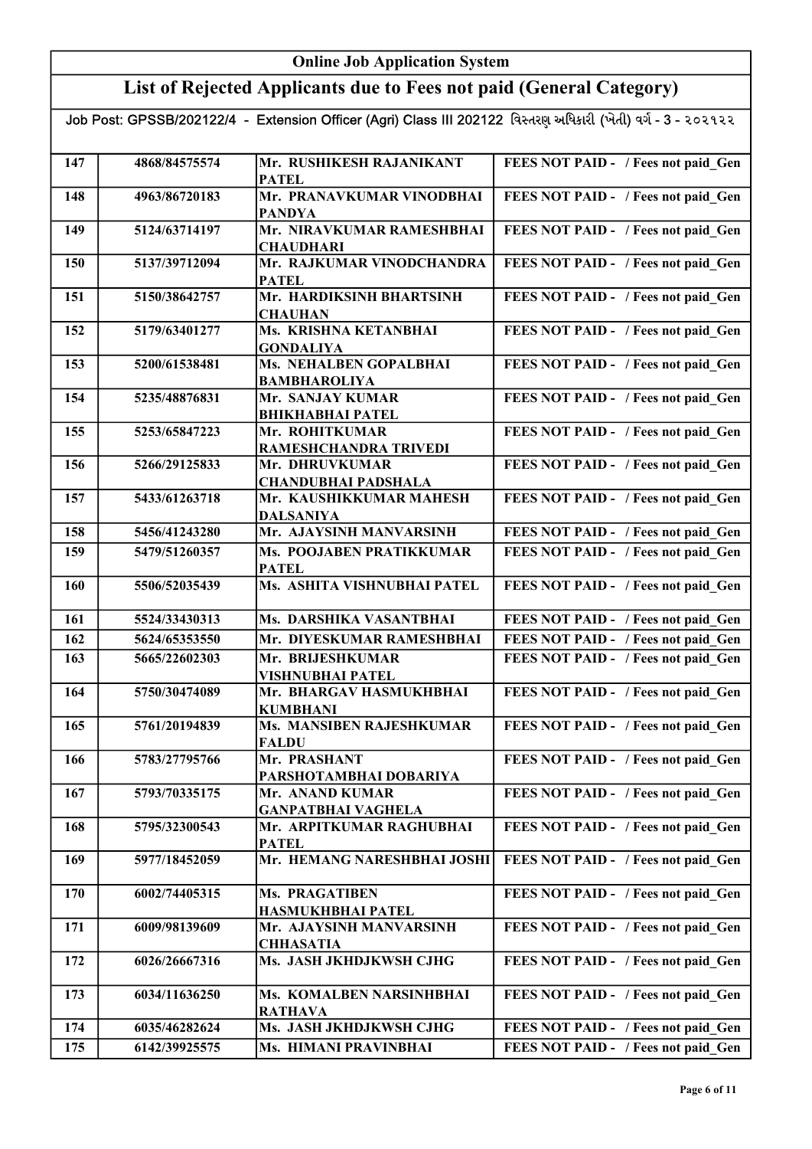## List of Rejected Applicants due to Fees not paid (General Category)

| 147 | 4868/84575574 | Mr. RUSHIKESH RAJANIKANT<br><b>PATEL</b>      | FEES NOT PAID - / Fees not paid Gen |
|-----|---------------|-----------------------------------------------|-------------------------------------|
| 148 | 4963/86720183 | Mr. PRANAVKUMAR VINODBHAI<br><b>PANDYA</b>    | FEES NOT PAID - / Fees not paid Gen |
| 149 | 5124/63714197 | Mr. NIRAVKUMAR RAMESHBHAI<br><b>CHAUDHARI</b> | FEES NOT PAID - / Fees not paid Gen |
| 150 | 5137/39712094 | Mr. RAJKUMAR VINODCHANDRA<br><b>PATEL</b>     | FEES NOT PAID - / Fees not paid_Gen |
| 151 | 5150/38642757 | Mr. HARDIKSINH BHARTSINH<br><b>CHAUHAN</b>    | FEES NOT PAID - / Fees not paid_Gen |
| 152 | 5179/63401277 | Ms. KRISHNA KETANBHAI<br><b>GONDALIYA</b>     | FEES NOT PAID - / Fees not paid_Gen |
| 153 | 5200/61538481 | Ms. NEHALBEN GOPALBHAI<br><b>BAMBHAROLIYA</b> | FEES NOT PAID - / Fees not paid_Gen |
| 154 | 5235/48876831 | Mr. SANJAY KUMAR<br><b>BHIKHABHAI PATEL</b>   | FEES NOT PAID - / Fees not paid_Gen |
| 155 | 5253/65847223 | Mr. ROHITKUMAR<br>RAMESHCHANDRA TRIVEDI       | FEES NOT PAID - / Fees not paid_Gen |
| 156 | 5266/29125833 | Mr. DHRUVKUMAR<br><b>CHANDUBHAI PADSHALA</b>  | FEES NOT PAID - / Fees not paid Gen |
| 157 | 5433/61263718 | Mr. KAUSHIKKUMAR MAHESH<br><b>DALSANIYA</b>   | FEES NOT PAID - / Fees not paid Gen |
| 158 | 5456/41243280 | Mr. AJAYSINH MANVARSINH                       | FEES NOT PAID - / Fees not paid Gen |
| 159 | 5479/51260357 | Ms. POOJABEN PRATIKKUMAR<br><b>PATEL</b>      | FEES NOT PAID - / Fees not paid Gen |
| 160 | 5506/52035439 | Ms. ASHITA VISHNUBHAI PATEL                   | FEES NOT PAID - / Fees not paid Gen |
| 161 | 5524/33430313 | Ms. DARSHIKA VASANTBHAI                       | FEES NOT PAID - / Fees not paid Gen |
| 162 | 5624/65353550 | Mr. DIYESKUMAR RAMESHBHAI                     | FEES NOT PAID - / Fees not paid Gen |
| 163 | 5665/22602303 | Mr. BRIJESHKUMAR<br><b>VISHNUBHAI PATEL</b>   | FEES NOT PAID - / Fees not paid_Gen |
| 164 | 5750/30474089 | Mr. BHARGAV HASMUKHBHAI<br><b>KUMBHANI</b>    | FEES NOT PAID - / Fees not paid Gen |
| 165 | 5761/20194839 | Ms. MANSIBEN RAJESHKUMAR<br><b>FALDU</b>      | FEES NOT PAID - / Fees not paid_Gen |
| 166 | 5783/27795766 | Mr. PRASHANT<br>PARSHOTAMBHAI DOBARIYA        | FEES NOT PAID - / Fees not paid Gen |
| 167 | 5793/70335175 | Mr. ANAND KUMAR<br><b>GANPATBHAI VAGHELA</b>  | FEES NOT PAID - / Fees not paid Gen |
| 168 | 5795/32300543 | Mr. ARPITKUMAR RAGHUBHAI<br><b>PATEL</b>      | FEES NOT PAID - / Fees not paid Gen |
| 169 | 5977/18452059 | Mr. HEMANG NARESHBHAI JOSHI                   | FEES NOT PAID - / Fees not paid Gen |
| 170 | 6002/74405315 | Ms. PRAGATIBEN<br><b>HASMUKHBHAI PATEL</b>    | FEES NOT PAID - / Fees not paid_Gen |
| 171 | 6009/98139609 | Mr. AJAYSINH MANVARSINH<br><b>CHHASATIA</b>   | FEES NOT PAID - / Fees not paid_Gen |
| 172 | 6026/26667316 | Ms. JASH JKHDJKWSH CJHG                       | FEES NOT PAID - / Fees not paid_Gen |
| 173 | 6034/11636250 | Ms. KOMALBEN NARSINHBHAI<br><b>RATHAVA</b>    | FEES NOT PAID - / Fees not paid_Gen |
| 174 | 6035/46282624 | Ms. JASH JKHDJKWSH CJHG                       | FEES NOT PAID - / Fees not paid Gen |
| 175 | 6142/39925575 | Ms. HIMANI PRAVINBHAI                         | FEES NOT PAID - / Fees not paid Gen |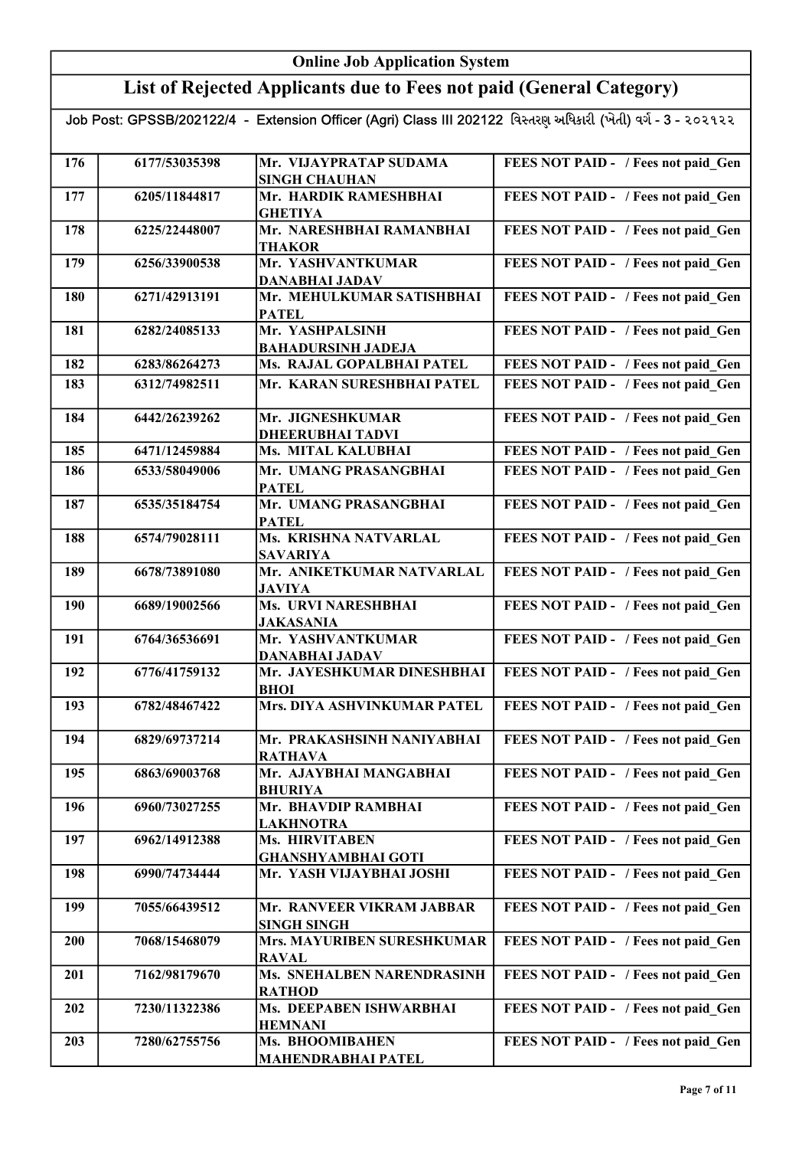#### Online Job Application System List of Rejected Applicants due to Fees not paid (General Category) Job Post: GPSSB/202122/4 - Extension Officer (Agri) Class III 202122 વિસ્તરણ અધિકારી (ખેતી) વર્ગ - 3 - ૨૦૨૧૨૨ 176 6177/53035398 Mr. VIJAYPRATAP SUDAMA SINGH CHAUHAN FEES NOT PAID - / Fees not paid Gen 177 6205/11844817 Mr. HARDIK RAMESHBHAI **GHETIYA** FEES NOT PAID - / Fees not paid Gen 178 6225/22448007 Mr. NARESHBHAI RAMANBHAI THAKOR FEES NOT PAID - / Fees not paid\_Gen 179 6256/33900538 Mr. YASHVANTKUMAR DANABHAI JADAV FEES NOT PAID - / Fees not paid Gen 180 6271/42913191 Mr. MEHULKUMAR SATISHBHAI PATEL FEES NOT PAID - / Fees not paid Gen 181 6282/24085133 Mr. YASHPALSINH BAHADURSINH JADEJA FEES NOT PAID - / Fees not paid Gen 182 6283/86264273 Ms. RAJAL GOPALBHAI PATEL FEES NOT PAID - / Fees not paid Gen 183 6312/74982511 Mr. KARAN SURESHBHAI PATEL FEES NOT PAID - / Fees not paid Gen 184 6442/26239262 Mr. JIGNESHKUMAR DHEERUBHAI TADVI FEES NOT PAID - / Fees not paid\_Gen 185 6471/12459884 Ms. MITAL KALUBHAI 186 6533/58049006 Mr. UMANG PRASANGBHAI FEES NOT PAID - / Fees not paid Gen PATEL FEES NOT PAID - / Fees not paid Gen 187 6535/35184754 Mr. UMANG PRASANGBHAI PATEL FEES NOT PAID - / Fees not paid Gen 188 6574/79028111 Ms. KRISHNA NATVARLAL SAVARIYA FEES NOT PAID - / Fees not paid Gen 189 6678/73891080 Mr. ANIKETKUMAR NATVARLAL JAVIYA FEES NOT PAID - / Fees not paid Gen 190 6689/19002566 Ms. URVI NARESHBHAI JAKASANIA FEES NOT PAID - / Fees not paid Gen 191 6764/36536691 Mr. YASHVANTKUMAR DANABHAI JADAV FEES NOT PAID - / Fees not paid Gen 192 6776/41759132 Mr. JAYESHKUMAR DINESHBHAI BHOI FEES NOT PAID - / Fees not paid Gen

| FEES NOT PAID - / Fees not paid Gen |
|-------------------------------------|
|                                     |
| FEES NOT PAID - / Fees not paid Gen |
|                                     |
| FEES NOT PAID - / Fees not paid Gen |
|                                     |
| FEES NOT PAID - / Fees not paid Gen |
|                                     |
| FEES NOT PAID - / Fees not paid Gen |
|                                     |
| FEES NOT PAID - / Fees not paid Gen |
|                                     |
| FEES NOT PAID - / Fees not paid Gen |
|                                     |
| FEES NOT PAID - / Fees not paid Gen |
|                                     |
|                                     |

193 6782/48467422 Mrs. DIYA ASHVINKUMAR PATEL | FEES NOT PAID - / Fees not paid\_Gen

194 6829/69737214 Mr. PRAKASHSINH NANIYABHAI

195 6863/69003768 Mr. AJAYBHAI MANGABHAI

RATHAVA

FEES NOT PAID - / Fees not paid Gen

FEES NOT PAID - / Fees not paid Gen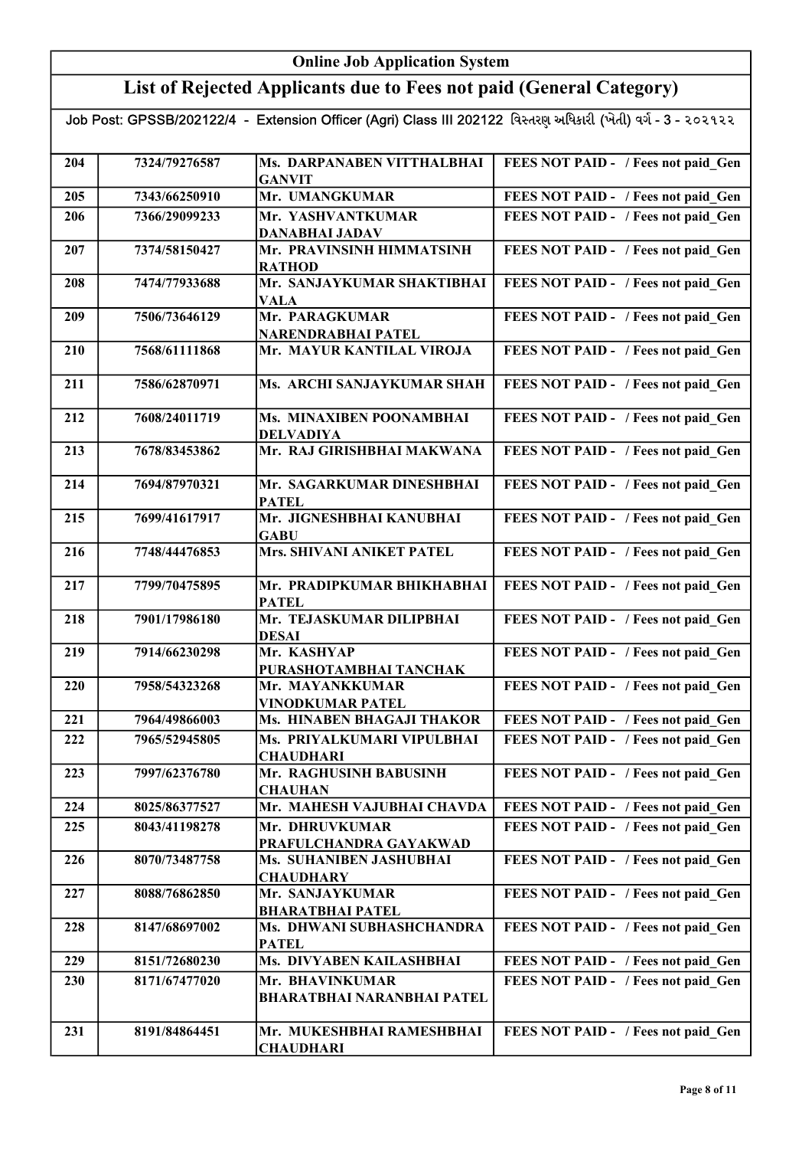## List of Rejected Applicants due to Fees not paid (General Category)

| 204 | 7324/79276587 | Ms. DARPANABEN VITTHALBHAI<br><b>GANVIT</b> | FEES NOT PAID - / Fees not paid_Gen |
|-----|---------------|---------------------------------------------|-------------------------------------|
| 205 | 7343/66250910 | Mr. UMANGKUMAR                              | FEES NOT PAID - / Fees not paid Gen |
| 206 | 7366/29099233 | Mr. YASHVANTKUMAR                           | FEES NOT PAID - / Fees not paid Gen |
|     |               | <b>DANABHAI JADAV</b>                       |                                     |
| 207 | 7374/58150427 | Mr. PRAVINSINH HIMMATSINH                   | FEES NOT PAID - / Fees not paid_Gen |
|     |               | <b>RATHOD</b>                               |                                     |
| 208 | 7474/77933688 | Mr. SANJAYKUMAR SHAKTIBHAI                  | FEES NOT PAID - / Fees not paid_Gen |
|     | 7506/73646129 | <b>VALA</b><br>Mr. PARAGKUMAR               | FEES NOT PAID - / Fees not paid Gen |
| 209 |               | NARENDRABHAI PATEL                          |                                     |
| 210 | 7568/61111868 | Mr. MAYUR KANTILAL VIROJA                   | FEES NOT PAID - / Fees not paid Gen |
|     |               |                                             |                                     |
| 211 | 7586/62870971 | Ms. ARCHI SANJAYKUMAR SHAH                  | FEES NOT PAID - / Fees not paid_Gen |
|     |               |                                             |                                     |
| 212 | 7608/24011719 | Ms. MINAXIBEN POONAMBHAI                    | FEES NOT PAID - / Fees not paid Gen |
|     |               | <b>DELVADIYA</b>                            |                                     |
| 213 | 7678/83453862 | Mr. RAJ GIRISHBHAI MAKWANA                  | FEES NOT PAID - / Fees not paid Gen |
| 214 | 7694/87970321 | Mr. SAGARKUMAR DINESHBHAI                   | FEES NOT PAID - / Fees not paid Gen |
|     |               | <b>PATEL</b>                                |                                     |
| 215 | 7699/41617917 | Mr. JIGNESHBHAI KANUBHAI                    | FEES NOT PAID - / Fees not paid Gen |
|     |               | <b>GABU</b>                                 |                                     |
| 216 | 7748/44476853 | Mrs. SHIVANI ANIKET PATEL                   | FEES NOT PAID - / Fees not paid Gen |
|     |               |                                             |                                     |
| 217 | 7799/70475895 | Mr. PRADIPKUMAR BHIKHABHAI                  | FEES NOT PAID - / Fees not paid Gen |
| 218 | 7901/17986180 | <b>PATEL</b><br>Mr. TEJASKUMAR DILIPBHAI    | FEES NOT PAID - / Fees not paid Gen |
|     |               | <b>DESAI</b>                                |                                     |
| 219 | 7914/66230298 | Mr. KASHYAP                                 | FEES NOT PAID - / Fees not paid Gen |
|     |               | PURASHOTAMBHAI TANCHAK                      |                                     |
| 220 | 7958/54323268 | Mr. MAYANKKUMAR                             | FEES NOT PAID - / Fees not paid Gen |
|     |               | <b>VINODKUMAR PATEL</b>                     |                                     |
| 221 | 7964/49866003 | Ms. HINABEN BHAGAJI THAKOR                  | FEES NOT PAID - / Fees not paid Gen |
| 222 | 7965/52945805 | Ms. PRIYALKUMARI VIPULBHAI                  | FEES NOT PAID - / Fees not paid Gen |
| 223 | 7997/62376780 | <b>CHAUDHARI</b><br>Mr. RAGHUSINH BABUSINH  | FEES NOT PAID - / Fees not paid Gen |
|     |               | <b>CHAUHAN</b>                              |                                     |
| 224 | 8025/86377527 | Mr. MAHESH VAJUBHAI CHAVDA                  | FEES NOT PAID - / Fees not paid Gen |
| 225 | 8043/41198278 | Mr. DHRUVKUMAR                              | FEES NOT PAID - / Fees not paid Gen |
|     |               | PRAFULCHANDRA GAYAKWAD                      |                                     |
| 226 | 8070/73487758 | Ms. SUHANIBEN JASHUBHAI                     | FEES NOT PAID - / Fees not paid Gen |
|     |               | <b>CHAUDHARY</b>                            |                                     |
| 227 | 8088/76862850 | Mr. SANJAYKUMAR                             | FEES NOT PAID - / Fees not paid Gen |
|     |               | <b>BHARATBHAI PATEL</b>                     |                                     |
| 228 | 8147/68697002 | Ms. DHWANI SUBHASHCHANDRA<br><b>PATEL</b>   | FEES NOT PAID - / Fees not paid Gen |
| 229 | 8151/72680230 | Ms. DIVYABEN KAILASHBHAI                    | FEES NOT PAID - / Fees not paid Gen |
| 230 | 8171/67477020 | Mr. BHAVINKUMAR                             | FEES NOT PAID - / Fees not paid Gen |
|     |               | <b>BHARATBHAI NARANBHAI PATEL</b>           |                                     |
|     |               |                                             |                                     |
| 231 | 8191/84864451 | Mr. MUKESHBHAI RAMESHBHAI                   | FEES NOT PAID - / Fees not paid Gen |
|     |               | <b>CHAUDHARI</b>                            |                                     |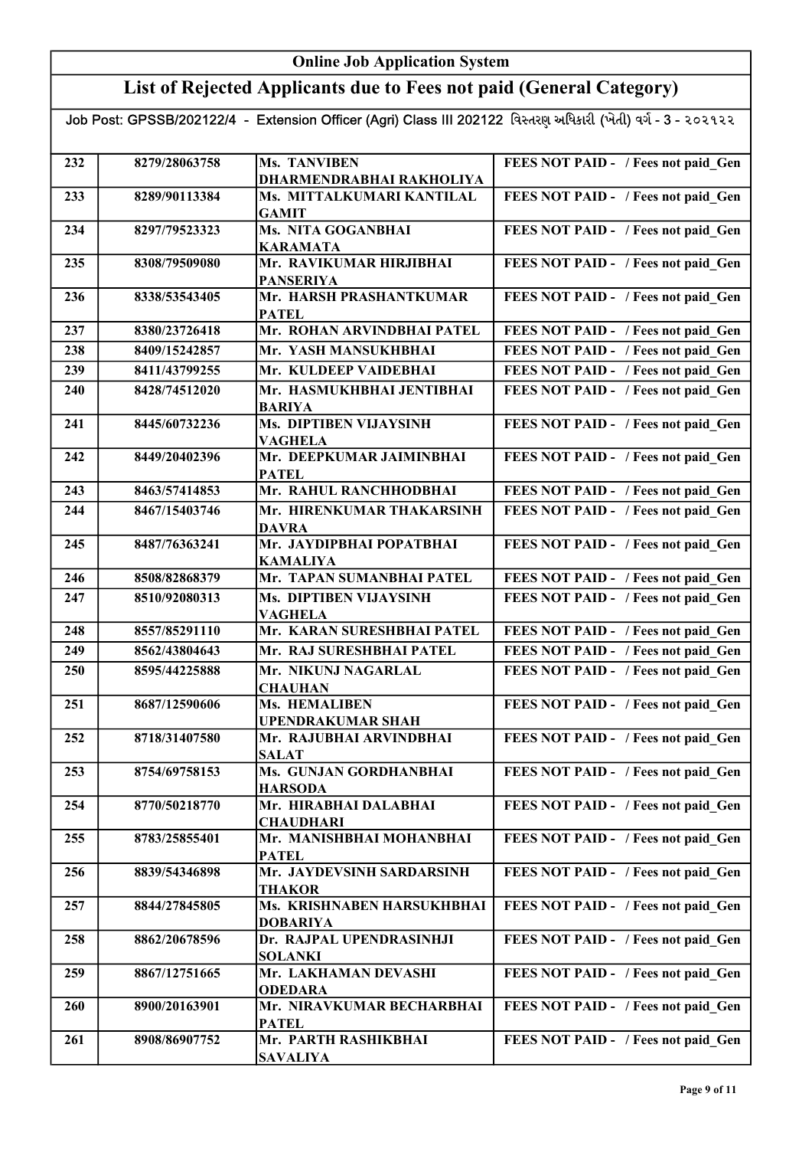## List of Rejected Applicants due to Fees not paid (General Category)

| 232 | 8279/28063758 | <b>Ms. TANVIBEN</b>                                 | FEES NOT PAID - / Fees not paid Gen |
|-----|---------------|-----------------------------------------------------|-------------------------------------|
|     |               | DHARMENDRABHAI RAKHOLIYA                            |                                     |
| 233 | 8289/90113384 | Ms. MITTALKUMARI KANTILAL<br><b>GAMIT</b>           | FEES NOT PAID - / Fees not paid_Gen |
| 234 | 8297/79523323 | Ms. NITA GOGANBHAI<br><b>KARAMATA</b>               | FEES NOT PAID - / Fees not paid Gen |
| 235 | 8308/79509080 | Mr. RAVIKUMAR HIRJIBHAI                             | FEES NOT PAID - / Fees not paid Gen |
|     |               | <b>PANSERIYA</b>                                    |                                     |
| 236 | 8338/53543405 | Mr. HARSH PRASHANTKUMAR<br><b>PATEL</b>             | FEES NOT PAID - / Fees not paid Gen |
| 237 | 8380/23726418 | Mr. ROHAN ARVINDBHAI PATEL                          | FEES NOT PAID - / Fees not paid Gen |
| 238 | 8409/15242857 | Mr. YASH MANSUKHBHAI                                | FEES NOT PAID - / Fees not paid Gen |
| 239 | 8411/43799255 | Mr. KULDEEP VAIDEBHAI                               | FEES NOT PAID - / Fees not paid Gen |
| 240 | 8428/74512020 | Mr. HASMUKHBHAI JENTIBHAI<br><b>BARIYA</b>          | FEES NOT PAID - / Fees not paid Gen |
| 241 | 8445/60732236 | Ms. DIPTIBEN VIJAYSINH<br><b>VAGHELA</b>            | FEES NOT PAID - / Fees not paid Gen |
| 242 | 8449/20402396 | Mr. DEEPKUMAR JAIMINBHAI<br><b>PATEL</b>            | FEES NOT PAID - / Fees not paid Gen |
| 243 | 8463/57414853 | Mr. RAHUL RANCHHODBHAI                              | FEES NOT PAID - / Fees not paid Gen |
| 244 | 8467/15403746 | Mr. HIRENKUMAR THAKARSINH<br><b>DAVRA</b>           | FEES NOT PAID - / Fees not paid Gen |
| 245 | 8487/76363241 | <b>Mr. JAYDIPBHAI POPATBHAI</b><br><b>KAMALIYA</b>  | FEES NOT PAID - / Fees not paid Gen |
| 246 | 8508/82868379 | Mr. TAPAN SUMANBHAI PATEL                           | FEES NOT PAID - / Fees not paid Gen |
| 247 | 8510/92080313 | Ms. DIPTIBEN VIJAYSINH                              | FEES NOT PAID - / Fees not paid Gen |
|     |               | <b>VAGHELA</b>                                      |                                     |
| 248 | 8557/85291110 | Mr. KARAN SURESHBHAI PATEL                          | FEES NOT PAID - / Fees not paid Gen |
| 249 | 8562/43804643 | Mr. RAJ SURESHBHAI PATEL                            | FEES NOT PAID - / Fees not paid Gen |
| 250 | 8595/44225888 | Mr. NIKUNJ NAGARLAL<br><b>CHAUHAN</b>               | FEES NOT PAID - / Fees not paid Gen |
| 251 | 8687/12590606 | Ms. HEMALIBEN                                       | FEES NOT PAID - / Fees not paid Gen |
| 252 | 8718/31407580 | <b>UPENDRAKUMAR SHAH</b><br>Mr. RAJUBHAI ARVINDBHAI | FEES NOT PAID - / Fees not paid Gen |
|     |               | <b>SALAT</b>                                        |                                     |
| 253 | 8754/69758153 | Ms. GUNJAN GORDHANBHAI<br><b>HARSODA</b>            | FEES NOT PAID - / Fees not paid Gen |
| 254 | 8770/50218770 | Mr. HIRABHAI DALABHAI<br><b>CHAUDHARI</b>           | FEES NOT PAID - / Fees not paid Gen |
| 255 | 8783/25855401 | Mr. MANISHBHAI MOHANBHAI<br><b>PATEL</b>            | FEES NOT PAID - / Fees not paid Gen |
| 256 | 8839/54346898 | Mr. JAYDEVSINH SARDARSINH                           | FEES NOT PAID - / Fees not paid Gen |
| 257 | 8844/27845805 | <b>THAKOR</b><br>Ms. KRISHNABEN HARSUKHBHAI         | FEES NOT PAID - / Fees not paid Gen |
|     |               | <b>DOBARIYA</b>                                     |                                     |
| 258 | 8862/20678596 | Dr. RAJPAL UPENDRASINHJI<br><b>SOLANKI</b>          | FEES NOT PAID - / Fees not paid Gen |
| 259 | 8867/12751665 | Mr. LAKHAMAN DEVASHI<br><b>ODEDARA</b>              | FEES NOT PAID - / Fees not paid Gen |
| 260 | 8900/20163901 | Mr. NIRAVKUMAR BECHARBHAI<br><b>PATEL</b>           | FEES NOT PAID - / Fees not paid Gen |
| 261 | 8908/86907752 | Mr. PARTH RASHIKBHAI                                | FEES NOT PAID - / Fees not paid Gen |
|     |               | <b>SAVALIYA</b>                                     |                                     |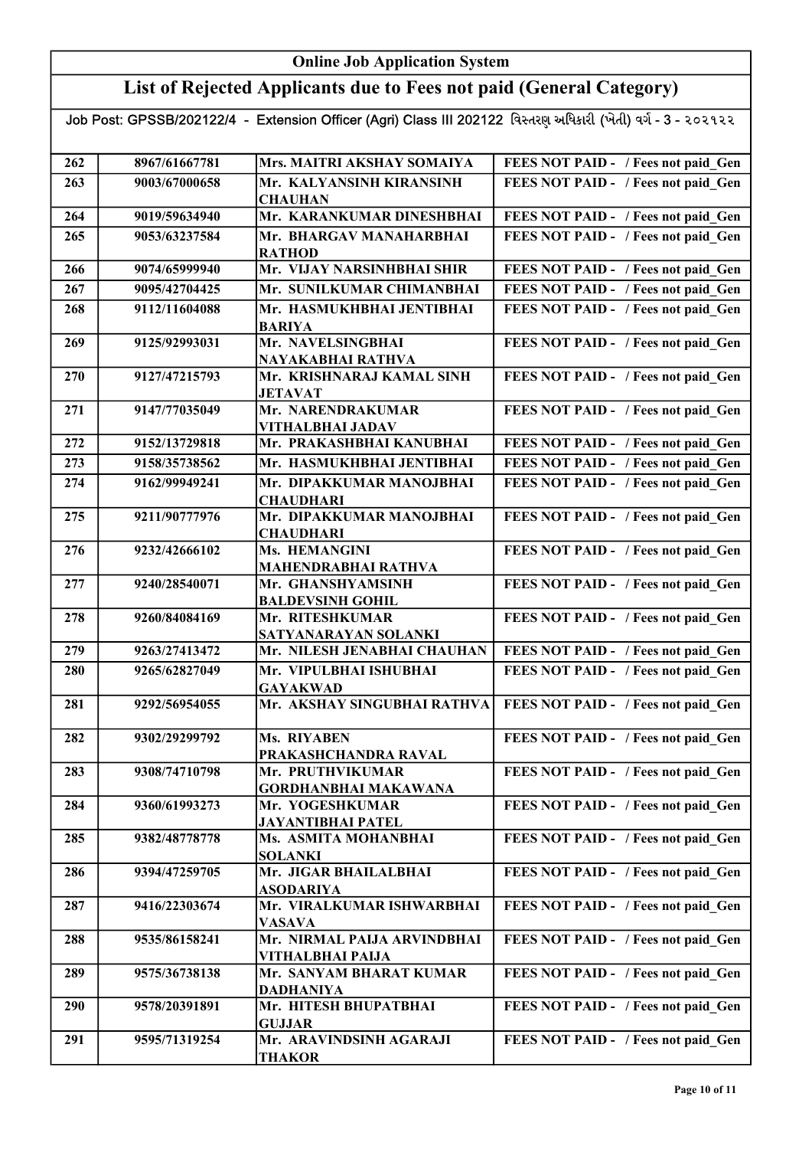## List of Rejected Applicants due to Fees not paid (General Category)

| 262 | 8967/61667781 | Mrs. MAITRI AKSHAY SOMAIYA                     | FEES NOT PAID - / Fees not paid Gen |
|-----|---------------|------------------------------------------------|-------------------------------------|
|     |               |                                                |                                     |
| 263 | 9003/67000658 | Mr. KALYANSINH KIRANSINH                       | FEES NOT PAID - / Fees not paid_Gen |
| 264 | 9019/59634940 | <b>CHAUHAN</b><br>Mr. KARANKUMAR DINESHBHAI    | FEES NOT PAID - / Fees not paid Gen |
| 265 |               | Mr. BHARGAV MANAHARBHAI                        |                                     |
|     | 9053/63237584 | <b>RATHOD</b>                                  | FEES NOT PAID - / Fees not paid Gen |
| 266 | 9074/65999940 | Mr. VIJAY NARSINHBHAI SHIR                     | FEES NOT PAID - / Fees not paid_Gen |
| 267 | 9095/42704425 | Mr. SUNILKUMAR CHIMANBHAI                      | FEES NOT PAID - / Fees not paid Gen |
| 268 | 9112/11604088 | Mr. HASMUKHBHAI JENTIBHAI                      | FEES NOT PAID - / Fees not paid Gen |
|     |               | <b>BARIYA</b>                                  |                                     |
| 269 | 9125/92993031 | Mr. NAVELSINGBHAI                              | FEES NOT PAID - / Fees not paid Gen |
|     |               | NAYAKABHAI RATHVA                              |                                     |
| 270 | 9127/47215793 | Mr. KRISHNARAJ KAMAL SINH                      | FEES NOT PAID - / Fees not paid Gen |
|     |               | <b>JETAVAT</b>                                 |                                     |
| 271 | 9147/77035049 | Mr. NARENDRAKUMAR                              | FEES NOT PAID - / Fees not paid Gen |
| 272 | 9152/13729818 | VITHALBHAI JADAV<br>Mr. PRAKASHBHAI KANUBHAI   | FEES NOT PAID - / Fees not paid Gen |
|     |               |                                                |                                     |
| 273 | 9158/35738562 | Mr. HASMUKHBHAI JENTIBHAI                      | FEES NOT PAID - / Fees not paid Gen |
| 274 | 9162/99949241 | Mr. DIPAKKUMAR MANOJBHAI                       | FEES NOT PAID - / Fees not paid Gen |
| 275 | 9211/90777976 | <b>CHAUDHARI</b><br>Mr. DIPAKKUMAR MANOJBHAI   | FEES NOT PAID - / Fees not paid Gen |
|     |               | <b>CHAUDHARI</b>                               |                                     |
| 276 | 9232/42666102 | Ms. HEMANGINI                                  | FEES NOT PAID - / Fees not paid Gen |
|     |               | <b>MAHENDRABHAI RATHVA</b>                     |                                     |
| 277 | 9240/28540071 | Mr. GHANSHYAMSINH                              | FEES NOT PAID - / Fees not paid Gen |
|     |               | <b>BALDEVSINH GOHIL</b>                        |                                     |
| 278 | 9260/84084169 | Mr. RITESHKUMAR                                | FEES NOT PAID - / Fees not paid Gen |
|     |               | SATYANARAYAN SOLANKI                           |                                     |
| 279 | 9263/27413472 | Mr. NILESH JENABHAI CHAUHAN                    | FEES NOT PAID - / Fees not paid Gen |
| 280 | 9265/62827049 | Mr. VIPULBHAI ISHUBHAI                         | FEES NOT PAID - / Fees not paid Gen |
|     | 9292/56954055 | <b>GAYAKWAD</b><br>Mr. AKSHAY SINGUBHAI RATHVA |                                     |
| 281 |               |                                                | FEES NOT PAID - / Fees not paid_Gen |
| 282 | 9302/29299792 | Ms. RIYABEN                                    | FEES NOT PAID - / Fees not paid Gen |
|     |               | PRAKASHCHANDRA RAVAL                           |                                     |
| 283 | 9308/74710798 | Mr. PRUTHVIKUMAR                               | FEES NOT PAID - / Fees not paid Gen |
|     |               | <b>GORDHANBHAI MAKAWANA</b>                    |                                     |
| 284 | 9360/61993273 | Mr. YOGESHKUMAR                                | FEES NOT PAID - / Fees not paid Gen |
|     |               | JAYANTIBHAI PATEL                              |                                     |
| 285 | 9382/48778778 | Ms. ASMITA MOHANBHAI                           | FEES NOT PAID - / Fees not paid Gen |
| 286 | 9394/47259705 | <b>SOLANKI</b><br>Mr. JIGAR BHAILALBHAI        | FEES NOT PAID - / Fees not paid Gen |
|     |               | <b>ASODARIYA</b>                               |                                     |
| 287 | 9416/22303674 | Mr. VIRALKUMAR ISHWARBHAI                      | FEES NOT PAID - / Fees not paid Gen |
|     |               | <b>VASAVA</b>                                  |                                     |
| 288 | 9535/86158241 | Mr. NIRMAL PAIJA ARVINDBHAI                    | FEES NOT PAID - / Fees not paid Gen |
|     |               | VITHALBHAI PAIJA                               |                                     |
| 289 | 9575/36738138 | Mr. SANYAM BHARAT KUMAR                        | FEES NOT PAID - / Fees not paid Gen |
|     |               | <b>DADHANIYA</b>                               |                                     |
| 290 | 9578/20391891 | Mr. HITESH BHUPATBHAI                          | FEES NOT PAID - / Fees not paid Gen |
|     |               | <b>GUJJAR</b>                                  |                                     |
| 291 | 9595/71319254 | Mr. ARAVINDSINH AGARAJI                        | FEES NOT PAID - / Fees not paid Gen |
|     |               | <b>THAKOR</b>                                  |                                     |